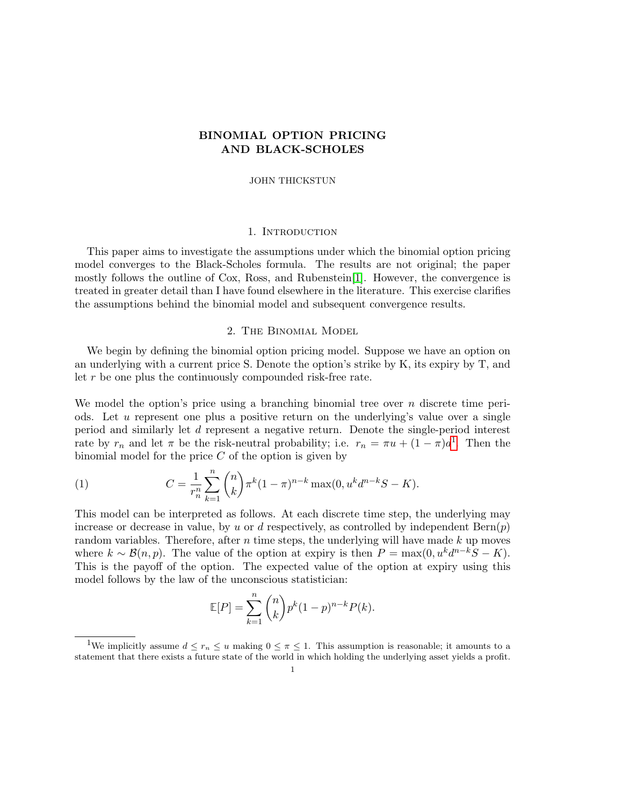## BINOMIAL OPTION PRICING AND BLACK-SCHOLES

#### JOHN THICKSTUN

#### 1. Introduction

This paper aims to investigate the assumptions under which the binomial option pricing model converges to the Black-Scholes formula. The results are not original; the paper mostly follows the outline of Cox, Ross, and Rubenstein[\[1\]](#page-10-0). However, the convergence is treated in greater detail than I have found elsewhere in the literature. This exercise clarifies the assumptions behind the binomial model and subsequent convergence results.

## 2. The Binomial Model

We begin by defining the binomial option pricing model. Suppose we have an option on an underlying with a current price S. Denote the option's strike by K, its expiry by T, and let r be one plus the continuously compounded risk-free rate.

We model the option's price using a branching binomial tree over  $n$  discrete time periods. Let u represent one plus a positive return on the underlying's value over a single period and similarly let d represent a negative return. Denote the single-period interest rate by  $r_n$  and let  $\pi$  be the risk-neutral probability; i.e.  $r_n = \pi u + (1 - \pi) d^1$  $r_n = \pi u + (1 - \pi) d^1$  $r_n = \pi u + (1 - \pi) d^1$ . Then the binomial model for the price  $C$  of the option is given by

(1) 
$$
C = \frac{1}{r_n^n} \sum_{k=1}^n {n \choose k} \pi^k (1-\pi)^{n-k} \max(0, u^k d^{n-k} S - K).
$$

This model can be interpreted as follows. At each discrete time step, the underlying may increase or decrease in value, by u or d respectively, as controlled by independent  $\text{Bern}(p)$ random variables. Therefore, after n time steps, the underlying will have made  $k$  up moves where  $k \sim \mathcal{B}(n, p)$ . The value of the option at expiry is then  $P = \max(0, u^k d^{n-k} S - K)$ . This is the payoff of the option. The expected value of the option at expiry using this model follows by the law of the unconscious statistician:

$$
\mathbb{E}[P] = \sum_{k=1}^{n} {n \choose k} p^k (1-p)^{n-k} P(k).
$$

<span id="page-0-0"></span><sup>&</sup>lt;sup>1</sup>We implicitly assume  $d \leq r_n \leq u$  making  $0 \leq \pi \leq 1$ . This assumption is reasonable; it amounts to a statement that there exists a future state of the world in which holding the underlying asset yields a profit.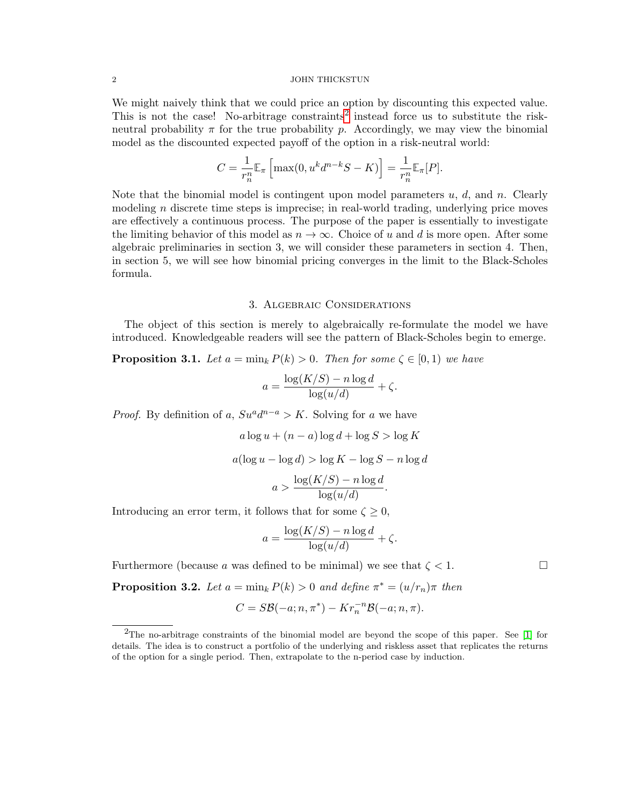#### 2 JOHN THICKSTUN

We might naively think that we could price an option by discounting this expected value. This is not the case! No-arbitrage constraints<sup>[2](#page-1-0)</sup> instead force us to substitute the riskneutral probability  $\pi$  for the true probability p. Accordingly, we may view the binomial model as the discounted expected payoff of the option in a risk-neutral world:

$$
C = \frac{1}{r_n^n} \mathbb{E}_{\pi} \left[ \max(0, u^k d^{n-k} S - K) \right] = \frac{1}{r_n^n} \mathbb{E}_{\pi}[P].
$$

Note that the binomial model is contingent upon model parameters  $u, d$ , and  $n$ . Clearly modeling n discrete time steps is imprecise; in real-world trading, underlying price moves are effectively a continuous process. The purpose of the paper is essentially to investigate the limiting behavior of this model as  $n \to \infty$ . Choice of u and d is more open. After some algebraic preliminaries in section 3, we will consider these parameters in section 4. Then, in section 5, we will see how binomial pricing converges in the limit to the Black-Scholes formula.

### 3. Algebraic Considerations

The object of this section is merely to algebraically re-formulate the model we have introduced. Knowledgeable readers will see the pattern of Black-Scholes begin to emerge.

**Proposition 3.1.** Let  $a = \min_k P(k) > 0$ . Then for some  $\zeta \in [0, 1)$  we have

$$
a = \frac{\log(K/S) - n \log d}{\log(u/d)} + \zeta.
$$

*Proof.* By definition of a,  $S u^a d^{n-a} > K$ . Solving for a we have

$$
a \log u + (n - a) \log d + \log S > \log K
$$

$$
a(\log u - \log d) > \log K - \log S - n \log d
$$

$$
a > \frac{\log(K/S) - n \log d}{\log(u/d)}.
$$

Introducing an error term, it follows that for some  $\zeta \geq 0$ ,

$$
a = \frac{\log(K/S) - n \log d}{\log(u/d)} + \zeta.
$$

Furthermore (because a was defined to be minimal) we see that  $\zeta < 1$ .

**Proposition 3.2.** Let  $a = \min_k P(k) > 0$  and define  $\pi^* = (u/r_n)\pi$  then

$$
C = S\mathcal{B}(-a; n, \pi^*) - Kr_n^{-n}\mathcal{B}(-a; n, \pi).
$$

<span id="page-1-0"></span><sup>2</sup>The no-arbitrage constraints of the binomial model are beyond the scope of this paper. See [\[1\]](#page-10-0) for details. The idea is to construct a portfolio of the underlying and riskless asset that replicates the returns of the option for a single period. Then, extrapolate to the n-period case by induction.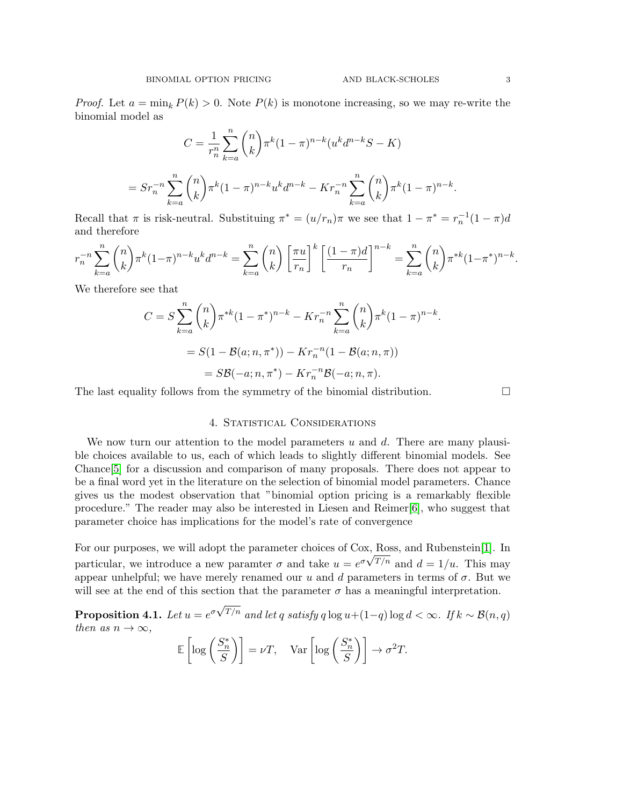*Proof.* Let  $a = \min_k P(k) > 0$ . Note  $P(k)$  is monotone increasing, so we may re-write the binomial model as

$$
C = \frac{1}{r_n^n} \sum_{k=a}^n {n \choose k} \pi^k (1-\pi)^{n-k} (u^k d^{n-k} S - K)
$$
  
= 
$$
S r_n^{-n} \sum_{k=a}^n {n \choose k} \pi^k (1-\pi)^{n-k} u^k d^{n-k} - K r_n^{-n} \sum_{k=a}^n {n \choose k} \pi^k (1-\pi)^{n-k}
$$

Recall that  $\pi$  is risk-neutral. Substituing  $\pi^* = (u/r_n)\pi$  we see that  $1 - \pi^* = r_n^{-1}(1 - \pi)d$ and therefore

$$
r_n^{-n} \sum_{k=a}^n \binom{n}{k} \pi^k (1-\pi)^{n-k} u^k d^{n-k} = \sum_{k=a}^n \binom{n}{k} \left[ \frac{\pi u}{r_n} \right]^k \left[ \frac{(1-\pi)d}{r_n} \right]^{n-k} = \sum_{k=a}^n \binom{n}{k} \pi^{*k} (1-\pi^*)^{n-k}.
$$

We therefore see that

$$
C = S \sum_{k=a}^{n} {n \choose k} \pi^{*k} (1 - \pi^{*})^{n-k} - Kr_{n}^{-n} \sum_{k=a}^{n} {n \choose k} \pi^{k} (1 - \pi)^{n-k}.
$$
  
=  $S(1 - B(a; n, \pi^{*})) - Kr_{n}^{-n} (1 - B(a; n, \pi))$   
=  $SB(-a; n, \pi^{*}) - Kr_{n}^{-n}B(-a; n, \pi).$ 

The last equality follows from the symmetry of the binomial distribution.  $\Box$ 

## 4. STATISTICAL CONSIDERATIONS

We now turn our attention to the model parameters  $u$  and  $d$ . There are many plausible choices available to us, each of which leads to slightly different binomial models. See Chance[\[5\]](#page-10-1) for a discussion and comparison of many proposals. There does not appear to be a final word yet in the literature on the selection of binomial model parameters. Chance gives us the modest observation that "binomial option pricing is a remarkably flexible procedure." The reader may also be interested in Liesen and Reimer[\[6\]](#page-10-2), who suggest that parameter choice has implications for the model's rate of convergence

For our purposes, we will adopt the parameter choices of Cox, Ross, and Rubenstein<sup>[\[1\]](#page-10-0)</sup>. In particular, we introduce a new paramter  $\sigma$  and take  $u = e^{\sigma \sqrt{T/n}}$  and  $d = 1/u$ . This may appear unhelpful; we have merely renamed our u and d parameters in terms of  $\sigma$ . But we will see at the end of this section that the parameter  $\sigma$  has a meaningful interpretation.

 $\textbf{Proposition 4.1.} \: \: Let \: u = e^{\sigma \sqrt{2}}$  $T^{/n}$  and let q satisfy q log  $u+(1-q)$  log  $d < \infty$ . If  $k \sim \mathcal{B}(n,q)$ then as  $n \to \infty$ .

$$
\mathbb{E}\left[\log\left(\frac{S_n^*}{S}\right)\right] = \nu T, \quad \text{Var}\left[\log\left(\frac{S_n^*}{S}\right)\right] \to \sigma^2 T.
$$

.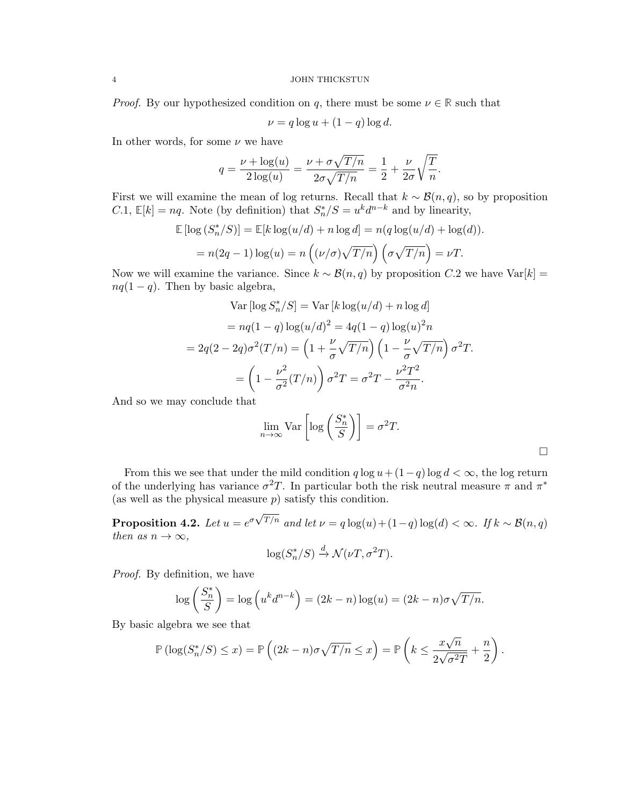#### 4 JOHN THICKSTUN

*Proof.* By our hypothesized condition on q, there must be some  $\nu \in \mathbb{R}$  such that

$$
\nu = q \log u + (1 - q) \log d.
$$

In other words, for some  $\nu$  we have

$$
q = \frac{\nu + \log(u)}{2\log(u)} = \frac{\nu + \sigma\sqrt{T/n}}{2\sigma\sqrt{T/n}} = \frac{1}{2} + \frac{\nu}{2\sigma}\sqrt{\frac{T}{n}}.
$$

First we will examine the mean of log returns. Recall that  $k \sim \mathcal{B}(n, q)$ , so by proposition C.1,  $\mathbb{E}[k] = nq$ . Note (by definition) that  $S_n^*/S = u^k d^{n-k}$  and by linearity,

$$
\mathbb{E} [\log (S_n^* / S)] = \mathbb{E} [k \log (u/d) + n \log d] = n(q \log (u/d) + \log (d)).
$$
  
=  $n(2q - 1) \log(u) = n((\nu/\sigma)\sqrt{T/n})(\sigma\sqrt{T/n}) = \nu T.$ 

Now we will examine the variance. Since  $k \sim \mathcal{B}(n,q)$  by proposition C.2 we have Var[k] =  $nq(1 - q)$ . Then by basic algebra,

$$
\text{Var}\left[\log S_n^*/S\right] = \text{Var}\left[k\log(u/d) + n\log d\right]
$$
\n
$$
= nq(1-q)\log(u/d)^2 = 4q(1-q)\log(u)^2n
$$
\n
$$
= 2q(2-2q)\sigma^2(T/n) = \left(1 + \frac{\nu}{\sigma}\sqrt{T/n}\right)\left(1 - \frac{\nu}{\sigma}\sqrt{T/n}\right)\sigma^2T.
$$
\n
$$
= \left(1 - \frac{\nu^2}{\sigma^2}(T/n)\right)\sigma^2T = \sigma^2T - \frac{\nu^2T^2}{\sigma^2n}.
$$

And so we may conclude that

$$
\lim_{n \to \infty} \text{Var}\left[\log\left(\frac{S_n^*}{S}\right)\right] = \sigma^2 T.
$$

From this we see that under the mild condition  $q \log u + (1-q) \log d < \infty$ , the log return of the underlying has variance  $\sigma^2 T$ . In particular both the risk neutral measure  $\pi$  and  $\pi^*$ (as well as the physical measure  $p$ ) satisfy this condition.

Proposition 4.2. Let  $u=e^{\sigma \sqrt{2}}$  $T/n$  and let  $\nu = q \log(u) + (1-q) \log(d) < \infty$ . If  $k \sim \mathcal{B}(n, q)$ then as  $n \to \infty$ ,

$$
\log(S_n^*/S) \xrightarrow{d} \mathcal{N}(\nu T, \sigma^2 T).
$$

Proof. By definition, we have

$$
\log\left(\frac{S_n^*}{S}\right) = \log\left(u^k d^{n-k}\right) = (2k - n)\log(u) = (2k - n)\sigma\sqrt{T/n}.
$$

By basic algebra we see that

$$
\mathbb{P}\left(\log(S_n^*/S) \le x\right) = \mathbb{P}\left((2k-n)\sigma\sqrt{T/n} \le x\right) = \mathbb{P}\left(k \le \frac{x\sqrt{n}}{2\sqrt{\sigma^2T}} + \frac{n}{2}\right).
$$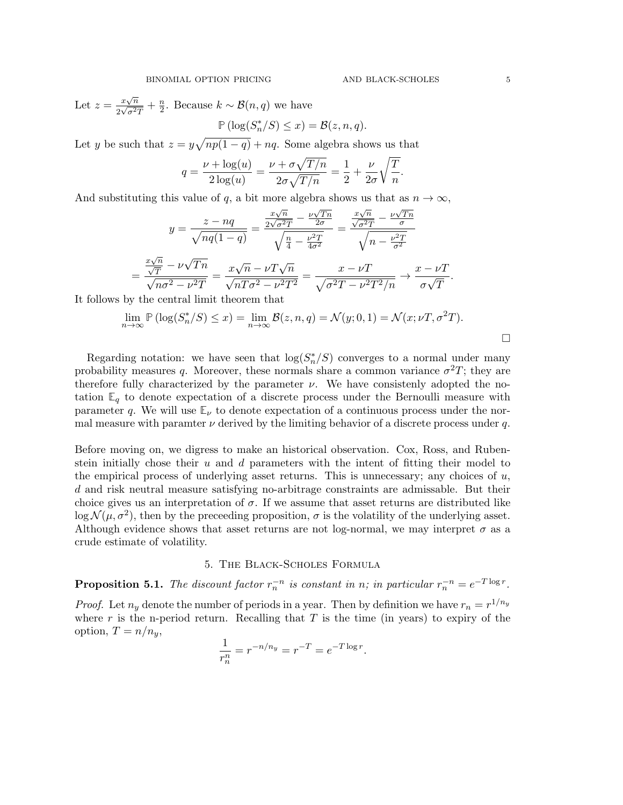Let  $z = \frac{x\sqrt{n}}{2\sqrt{-2}}$  $rac{x\sqrt{n}}{2\sqrt{\sigma^2T}}+\frac{n}{2}$  $\frac{n}{2}$ . Because  $k \sim \mathcal{B}(n,q)$  we have  $\mathbb{P}(\log(S_n^*/S) \leq x) = \mathcal{B}(z,n,q).$ 

Let y be such that  $z = y\sqrt{np(1-q)} + nq$ . Some algebra shows us that

$$
q = \frac{\nu + \log(u)}{2\log(u)} = \frac{\nu + \sigma\sqrt{T/n}}{2\sigma\sqrt{T/n}} = \frac{1}{2} + \frac{\nu}{2\sigma}\sqrt{\frac{T}{n}}.
$$

And substituting this value of q, a bit more algebra shows us that as  $n \to \infty$ ,

$$
y = \frac{z - nq}{\sqrt{nq(1-q)}} = \frac{\frac{x\sqrt{n}}{2\sqrt{\sigma^2 T}} - \frac{\nu\sqrt{Tn}}{2\sigma}}{\sqrt{\frac{n}{4} - \frac{\nu^2 T}{4\sigma^2}}} = \frac{\frac{x\sqrt{n}}{\sqrt{\sigma^2 T}} - \frac{\nu\sqrt{Tn}}{\sigma}}{\sqrt{n - \frac{\nu^2 T}{\sigma^2}}}
$$

$$
= \frac{\frac{x\sqrt{n}}{\sqrt{T}} - \nu\sqrt{Tn}}{\sqrt{n\sigma^2 - \nu^2 T}} = \frac{x\sqrt{n} - \nu\sqrt{Tn}}{\sqrt{n\sigma^2 - \nu^2 T^2}} = \frac{x - \nu\sqrt{T}}{\sqrt{\sigma^2 T - \nu^2 T^2/n}} \rightarrow \frac{x - \nu\sqrt{T}}{\sigma\sqrt{T}}.
$$
It follows by the central limit theorem that

$$
\lim_{n \to \infty} \mathbb{P} \left( \log(S_n^* / S) \le x \right) = \lim_{n \to \infty} \mathcal{B}(z, n, q) = \mathcal{N}(y; 0, 1) = \mathcal{N}(x; \nu T, \sigma^2 T).
$$

Regarding notation: we have seen that  $log(S_n^*/S)$  converges to a normal under many probability measures q. Moreover, these normals share a common variance  $\sigma^2 T$ ; they are therefore fully characterized by the parameter  $\nu$ . We have consistenly adopted the notation  $\mathbb{E}_q$  to denote expectation of a discrete process under the Bernoulli measure with parameter q. We will use  $\mathbb{E}_{\nu}$  to denote expectation of a continuous process under the normal measure with paramter  $\nu$  derived by the limiting behavior of a discrete process under q.

Before moving on, we digress to make an historical observation. Cox, Ross, and Rubenstein initially chose their  $u$  and  $d$  parameters with the intent of fitting their model to the empirical process of underlying asset returns. This is unnecessary; any choices of  $u$ , d and risk neutral measure satisfying no-arbitrage constraints are admissable. But their choice gives us an interpretation of  $\sigma$ . If we assume that asset returns are distributed like  $\log \mathcal{N}(\mu, \sigma^2)$ , then by the preceeding proposition,  $\sigma$  is the volatility of the underlying asset. Although evidence shows that asset returns are not log-normal, we may interpret  $\sigma$  as a crude estimate of volatility.

## 5. The Black-Scholes Formula

**Proposition 5.1.** The discount factor  $r_n^{-n}$  is constant in n; in particular  $r_n^{-n} = e^{-T \log r}$ .

*Proof.* Let  $n_y$  denote the number of periods in a year. Then by definition we have  $r_n = r^{1/n_y}$ where r is the n-period return. Recalling that  $T$  is the time (in years) to expiry of the option,  $T = n/n_y$ ,

$$
\frac{1}{r_n^n} = r^{-n/n_y} = r^{-T} = e^{-T \log r}.
$$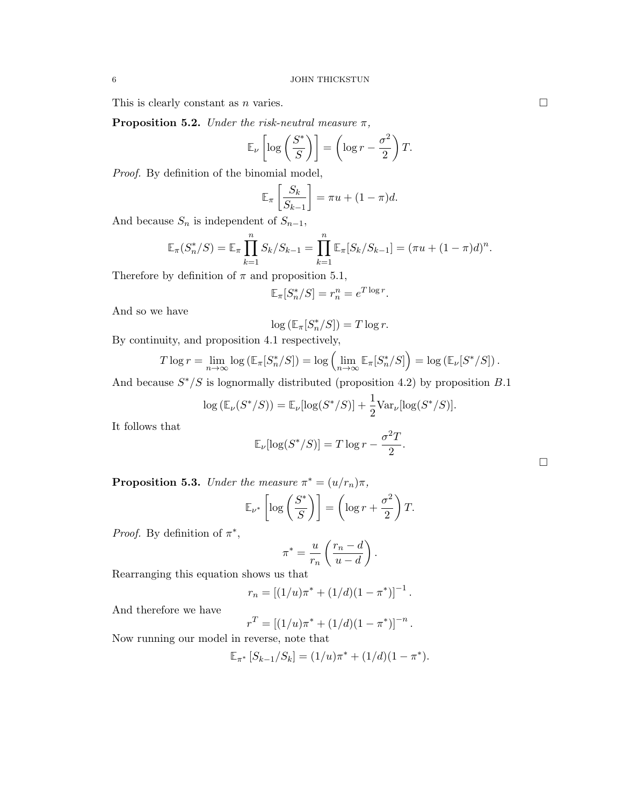This is clearly constant as n varies.  $\square$ 

**Proposition 5.2.** Under the risk-neutral measure  $\pi$ ,

$$
\mathbb{E}_{\nu}\left[\log\left(\frac{S^*}{S}\right)\right] = \left(\log r - \frac{\sigma^2}{2}\right)T.
$$

Proof. By definition of the binomial model,

$$
\mathbb{E}_{\pi}\left[\frac{S_k}{S_{k-1}}\right] = \pi u + (1-\pi)d.
$$

And because  $S_n$  is independent of  $S_{n-1}$ ,

$$
\mathbb{E}_{\pi}(S_n^*/S) = \mathbb{E}_{\pi} \prod_{k=1}^n S_k / S_{k-1} = \prod_{k=1}^n \mathbb{E}_{\pi}[S_k / S_{k-1}] = (\pi u + (1 - \pi)d)^n.
$$

Therefore by definition of  $\pi$  and proposition 5.1,

$$
\mathbb{E}_{\pi}[S_n^*/S] = r_n^n = e^{T \log r}.
$$

And so we have

$$
\log\left(\mathbb{E}_\pi[S_n^*/S]\right)=T\log r.
$$

By continuity, and proposition 4.1 respectively,

$$
T \log r = \lim_{n \to \infty} \log \left( \mathbb{E}_{\pi}[S_n^*/S] \right) = \log \left( \lim_{n \to \infty} \mathbb{E}_{\pi}[S_n^*/S] \right) = \log \left( \mathbb{E}_{\nu}[S^*/S] \right).
$$

And because  $S^*/S$  is lognormally distributed (proposition 4.2) by proposition B.1

$$
\log \left( \mathbb{E}_{\nu}(S^*/S) \right) = \mathbb{E}_{\nu}[\log(S^*/S)] + \frac{1}{2} \text{Var}_{\nu}[\log(S^*/S)].
$$

It follows that

$$
\mathbb{E}_{\nu}[\log(S^*/S)] = T \log r - \frac{\sigma^2 T}{2}
$$

.

**Proposition 5.3.** Under the measure  $\pi^* = (u/r_n)\pi$ ,

$$
\mathbb{E}_{\nu^*} \left[ \log \left( \frac{S^*}{S} \right) \right] = \left( \log r + \frac{\sigma^2}{2} \right) T.
$$

Proof. By definition of  $\pi^*$ ,

$$
\pi^* = \frac{u}{r_n} \left( \frac{r_n - d}{u - d} \right).
$$

Rearranging this equation shows us that

$$
r_n = [(1/u)\pi^* + (1/d)(1 - \pi^*)]^{-1}.
$$

And therefore we have

$$
r^T = [(1/u)\pi^* + (1/d)(1 - \pi^*)]^{-n}.
$$

Now running our model in reverse, note that

$$
\mathbb{E}_{\pi^*}\left[S_{k-1}/S_k\right] = (1/u)\pi^* + (1/d)(1-\pi^*).
$$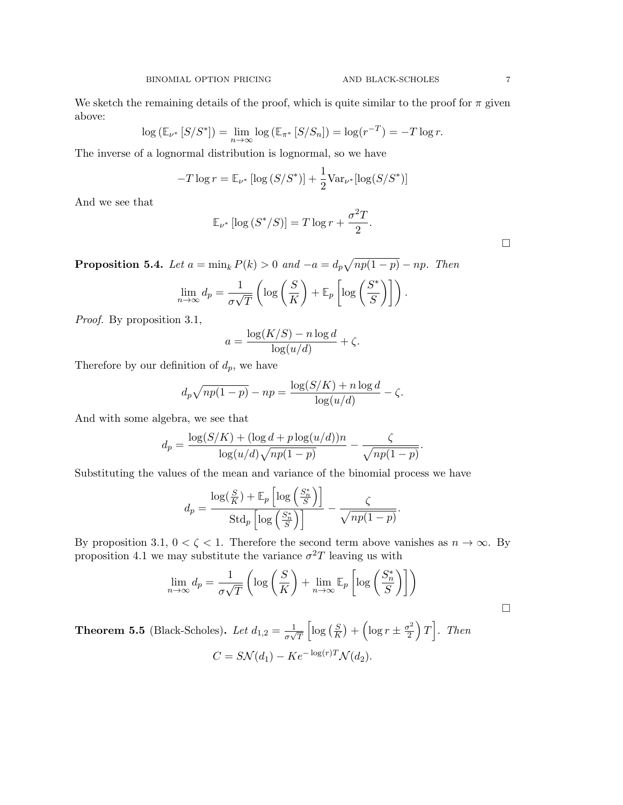We sketch the remaining details of the proof, which is quite similar to the proof for  $\pi$  given above:

$$
\log (\mathbb{E}_{\nu^*} [S/S^*]) = \lim_{n \to \infty} \log (\mathbb{E}_{\pi^*} [S/S_n]) = \log (r^{-T}) = -T \log r.
$$

The inverse of a lognormal distribution is lognormal, so we have

$$
-T \log r = \mathbb{E}_{\nu^*} \left[ \log \left( S / S^* \right) \right] + \frac{1}{2} \text{Var}_{\nu^*} [\log \left( S / S^* \right) ]
$$

And we see that

$$
\mathbb{E}_{\nu^*} [\log (S^*/S)] = T \log r + \frac{\sigma^2 T}{2}.
$$

**Proposition 5.4.** Let  $a = \min_k P(k) > 0$  and  $-a = d_p \sqrt{np(1-p)} - np$ . Then

$$
\lim_{n \to \infty} d_p = \frac{1}{\sigma \sqrt{T}} \left( \log \left( \frac{S}{K} \right) + \mathbb{E}_p \left[ \log \left( \frac{S^*}{S} \right) \right] \right).
$$

Proof. By proposition 3.1,

$$
a = \frac{\log(K/S) - n \log d}{\log(u/d)} + \zeta.
$$

Therefore by our definition of  $d_p$ , we have

$$
d_p\sqrt{np(1-p)} - np = \frac{\log(S/K) + n\log d}{\log(u/d)} - \zeta.
$$

And with some algebra, we see that

$$
d_p = \frac{\log(S/K) + (\log d + p \log(u/d))n}{\log(u/d)\sqrt{np(1-p)}} - \frac{\zeta}{\sqrt{np(1-p)}}.
$$

Substituting the values of the mean and variance of the binomial process we have

$$
d_p = \frac{\log(\frac{S}{K}) + \mathbb{E}_p \left[ \log\left(\frac{S_n^*}{S}\right) \right]}{\text{Std}_p \left[ \log\left(\frac{S_n^*}{S}\right) \right]} - \frac{\zeta}{\sqrt{np(1-p)}}.
$$

By proposition 3.1,  $0 < \zeta < 1$ . Therefore the second term above vanishes as  $n \to \infty$ . By proposition 4.1 we may substitute the variance  $\sigma^2 T$  leaving us with

$$
\lim_{n \to \infty} d_p = \frac{1}{\sigma \sqrt{T}} \left( \log \left( \frac{S}{K} \right) + \lim_{n \to \infty} \mathbb{E}_p \left[ \log \left( \frac{S_n^*}{S} \right) \right] \right)
$$
  
Black-Scholes). Let  $d_{1,2} = \frac{1}{\sqrt{\pi}} \left[ \log \left( \frac{S}{K} \right) + \left( \log r \pm \frac{\sigma^2}{2} \right) T \right]$ . Then

Theorem 5.5 ( $\beta$  $\frac{1}{\sigma\sqrt{T}}$  $\lceil \log \left( \frac{S}{K} \right) \rceil$  $(\frac{S}{K}) + (\log r \pm \frac{\sigma}{2})$  $\left[\frac{r^2}{2}\right)T\right]$ . Then  $C = S\mathcal{N}(d_1) - Ke^{-\log(r)T}\mathcal{N}(d_2).$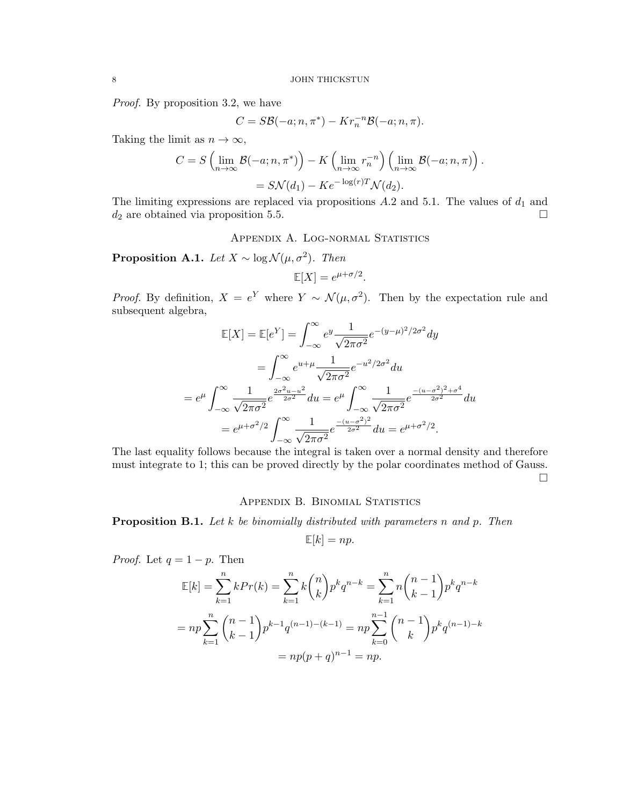Proof. By proposition 3.2, we have

$$
C = S\mathcal{B}(-a; n, \pi^*) - Kr_n^{-n}\mathcal{B}(-a; n, \pi).
$$

Taking the limit as  $n \to \infty$ ,

$$
C = S\left(\lim_{n\to\infty} \mathcal{B}(-a; n, \pi^*)\right) - K\left(\lim_{n\to\infty} r_n^{-n}\right) \left(\lim_{n\to\infty} \mathcal{B}(-a; n, \pi)\right).
$$
  
= 
$$
S\mathcal{N}(d_1) - Ke^{-\log(r)T}\mathcal{N}(d_2).
$$

The limiting expressions are replaced via propositions  $A.2$  and 5.1. The values of  $d_1$  and  $d_2$  are obtained via proposition 5.5.

APPENDIX A. LOG-NORMAL STATISTICS

**Proposition A.1.** Let  $X \sim \log \mathcal{N}(\mu, \sigma^2)$ . Then

$$
\mathbb{E}[X] = e^{\mu + \sigma/2}.
$$

*Proof.* By definition,  $X = e^Y$  where  $Y \sim \mathcal{N}(\mu, \sigma^2)$ . Then by the expectation rule and subsequent algebra,

$$
\mathbb{E}[X] = \mathbb{E}[e^Y] = \int_{-\infty}^{\infty} e^y \frac{1}{\sqrt{2\pi\sigma^2}} e^{-(y-\mu)^2/2\sigma^2} dy
$$
  
\n
$$
= \int_{-\infty}^{\infty} e^{u+\mu} \frac{1}{\sqrt{2\pi\sigma^2}} e^{-u^2/2\sigma^2} du
$$
  
\n
$$
= e^{\mu} \int_{-\infty}^{\infty} \frac{1}{\sqrt{2\pi\sigma^2}} e^{\frac{2\sigma^2 u - u^2}{2\sigma^2}} du = e^{\mu} \int_{-\infty}^{\infty} \frac{1}{\sqrt{2\pi\sigma^2}} e^{\frac{-(u-\sigma^2)^2 + \sigma^4}{2\sigma^2}} du
$$
  
\n
$$
= e^{\mu + \sigma^2/2} \int_{-\infty}^{\infty} \frac{1}{\sqrt{2\pi\sigma^2}} e^{\frac{-(u-\sigma^2)^2}{2\sigma^2}} du = e^{\mu + \sigma^2/2}.
$$

The last equality follows because the integral is taken over a normal density and therefore must integrate to 1; this can be proved directly by the polar coordinates method of Gauss.  $\Box$ 

### APPENDIX B. BINOMIAL STATISTICS

**Proposition B.1.** Let k be binomially distributed with parameters n and p. Then

$$
\mathbb{E}[k] = np.
$$

*Proof.* Let  $q = 1 - p$ . Then

$$
\mathbb{E}[k] = \sum_{k=1}^{n} k Pr(k) = \sum_{k=1}^{n} k {n \choose k} p^k q^{n-k} = \sum_{k=1}^{n} n {n-1 \choose k-1} p^k q^{n-k}
$$

$$
= np \sum_{k=1}^{n} {n-1 \choose k-1} p^{k-1} q^{(n-1)-(k-1)} = np \sum_{k=0}^{n-1} {n-1 \choose k} p^k q^{(n-1)-k}
$$

$$
= np(p+q)^{n-1} = np.
$$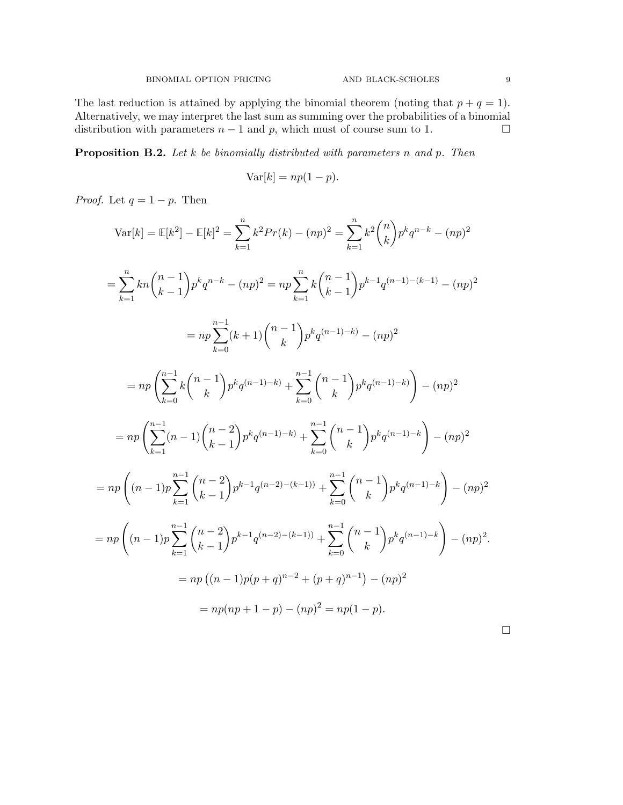The last reduction is attained by applying the binomial theorem (noting that  $p + q = 1$ ). Alternatively, we may interpret the last sum as summing over the probabilities of a binomial distribution with parameters  $n - 1$  and p, which must of course sum to 1.  $\Box$ 

**Proposition B.2.** Let  $k$  be binomially distributed with parameters n and p. Then

$$
Var[k] = np(1 - p).
$$

*Proof.* Let  $q = 1 - p$ . Then

$$
\operatorname{Var}[k] = \mathbb{E}[k^2] - \mathbb{E}[k]^2 = \sum_{k=1}^n k^2 Pr(k) - (np)^2 = \sum_{k=1}^n k^2 {n \choose k} p^k q^{n-k} - (np)^2
$$
  
\n
$$
= \sum_{k=1}^n kn {n-1 \choose k-1} p^k q^{n-k} - (np)^2 = np \sum_{k=1}^n k {n-1 \choose k-1} p^{k-1} q^{(n-1)-(k-1)} - (np)^2
$$
  
\n
$$
= np \sum_{k=0}^{n-1} (k+1) {n-1 \choose k} p^k q^{(n-1)-k} - (np)^2
$$
  
\n
$$
= np \left( \sum_{k=0}^{n-1} k {n-1 \choose k} p^k q^{(n-1)-k} + \sum_{k=0}^{n-1} {n-1 \choose k} p^k q^{(n-1)-k} \right) - (np)^2
$$
  
\n
$$
= np \left( \sum_{k=1}^{n-1} (n-1) {n-2 \choose k-1} p^k q^{(n-1)-k} + \sum_{k=0}^{n-1} {n-1 \choose k} p^k q^{(n-1)-k} - (np)^2
$$
  
\n
$$
= np \left( (n-1) p \sum_{k=1}^{n-1} {n-2 \choose k-1} p^{k-1} q^{(n-2)-(k-1)} + \sum_{k=0}^{n-1} {n-1 \choose k} p^k q^{(n-1)-k} - (np)^2
$$
  
\n
$$
= np \left( (n-1) p \sum_{k=1}^{n-1} {n-2 \choose k-1} p^{k-1} q^{(n-2)-(k-1)} + \sum_{k=0}^{n-1} {n-1 \choose k} p^k q^{(n-1)-k} - (np)^2
$$
  
\n
$$
= np \left( (n-1) p(p+q)^{n-2} + (p+q)^{n-1} \right) - (np)^2
$$
  
\n
$$
= np (np+1-p) - (np)^2 = np(1-p).
$$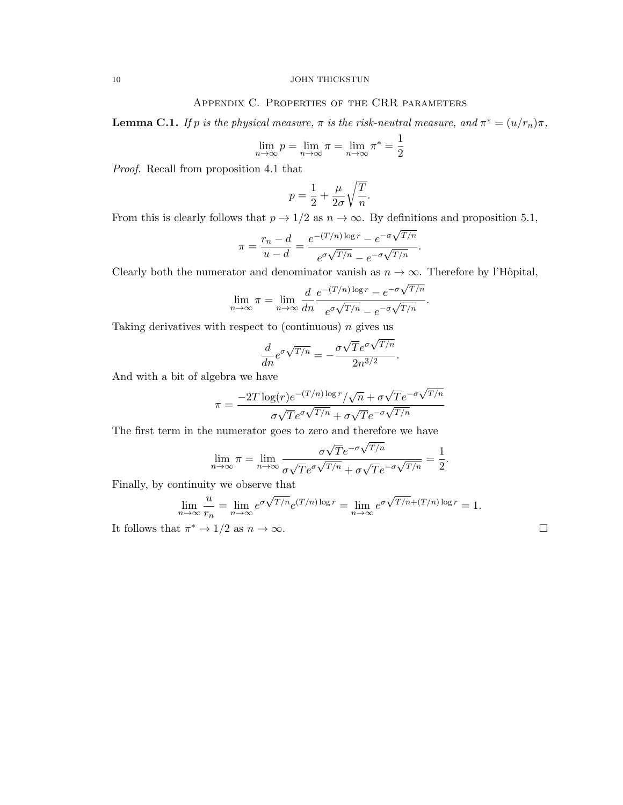## 10 JOHN THICKSTUN

# Appendix C. Properties of the CRR parameters

**Lemma C.1.** If p is the physical measure,  $\pi$  is the risk-neutral measure, and  $\pi^* = (u/r_n)\pi$ ,

$$
\lim_{n \to \infty} p = \lim_{n \to \infty} \pi = \lim_{n \to \infty} \pi^* = \frac{1}{2}
$$

Proof. Recall from proposition 4.1 that

$$
p = \frac{1}{2} + \frac{\mu}{2\sigma} \sqrt{\frac{T}{n}}.
$$

From this is clearly follows that  $p \to 1/2$  as  $n \to \infty$ . By definitions and proposition 5.1, √

$$
\pi = \frac{r_n - d}{u - d} = \frac{e^{-(T/n)\log r} - e^{-\sigma\sqrt{T/n}}}{e^{\sigma\sqrt{T/n}} - e^{-\sigma\sqrt{T/n}}}.
$$

Clearly both the numerator and denominator vanish as  $n \to \infty$ . Therefore by l'Hôpital,

$$
\lim_{n \to \infty} \pi = \lim_{n \to \infty} \frac{d}{dn} \frac{e^{-(T/n)\log r} - e^{-\sigma\sqrt{T/n}}}{e^{\sigma\sqrt{T/n}} - e^{-\sigma\sqrt{T/n}}}.
$$

Taking derivatives with respect to (continuous)  $n$  gives us

$$
\frac{d}{dn}e^{\sigma\sqrt{T/n}} = -\frac{\sigma\sqrt{T}e^{\sigma\sqrt{T/n}}}{2n^{3/2}}.
$$

And with a bit of algebra we have

$$
\pi = \frac{-2T \log(r) e^{-(T/n) \log r} / \sqrt{n} + \sigma \sqrt{T} e^{-\sigma \sqrt{T/n}}}{\sigma \sqrt{T} e^{\sigma \sqrt{T/n}} + \sigma \sqrt{T} e^{-\sigma \sqrt{T/n}}}
$$

The first term in the numerator goes to zero and therefore we have

$$
\lim_{n \to \infty} \pi = \lim_{n \to \infty} \frac{\sigma \sqrt{T} e^{-\sigma \sqrt{T/n}}}{\sigma \sqrt{T} e^{\sigma \sqrt{T/n}} + \sigma \sqrt{T} e^{-\sigma \sqrt{T/n}}} = \frac{1}{2}
$$

Finally, by continuity we observe that

$$
\lim_{n \to \infty} \frac{u}{r_n} = \lim_{n \to \infty} e^{\sigma \sqrt{T/n}} e^{(T/n) \log r} = \lim_{n \to \infty} e^{\sigma \sqrt{T/n} + (T/n) \log r} = 1.
$$

It follows that  $\pi^* \to 1/2$  as  $n \to \infty$ .

.